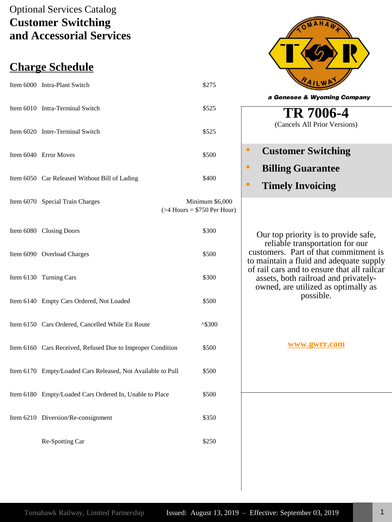# Optional Services Catalog **Customer Switching and Accessorial Services**

# **Charge Schedule**

| Item 6000 Intra-Plant Switch                                | \$275                                             |
|-------------------------------------------------------------|---------------------------------------------------|
| Item 6010 Intra-Terminal Switch                             | \$525                                             |
| Item 6020 Inter-Terminal Switch                             | \$525                                             |
| Item 6040 Error Moves                                       | \$500                                             |
| Item 6050 Car Released Without Bill of Lading               | \$400                                             |
| Item 6070 Special Train Charges                             | Minimum \$6,000<br>$($ >4 Hours = \$750 Per Hour) |
| Item 6080 Closing Doors                                     | \$300                                             |
| Item 6090 Overload Charges                                  | \$500                                             |
| Item 6130 Turning Cars                                      | \$300                                             |
| Item 6140 Empty Cars Ordered, Not Loaded                    | \$500                                             |
| Item 6150 Cars Ordered, Cancelled While En Route            | $^{\wedge}$ \$300                                 |
| Item 6160 Cars Received, Refused Due to Improper Condition  | \$500                                             |
| Item 6170 Empty/Loaded Cars Released, Not Available to Pull | \$500                                             |
| Item 6180 Empty/Loaded Cars Ordered In, Unable to Place     | \$500                                             |
| Item 6210 Diversion/Re-consignment                          | \$350                                             |
| Re-Spotting Car                                             | \$250                                             |



Our top priority is to provide safe, reliable transportation for our customers. Part of that commitment is to maintain a fluid and adequate supply of rail cars and to ensure that all railcar assets, both railroad and privatelyowned, are utilized as optimally as possible.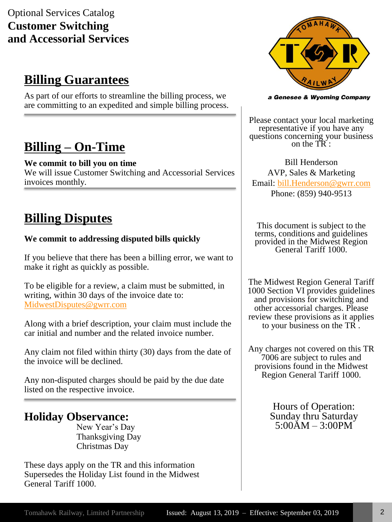# Optional Services Catalog **Customer Switching and Accessorial Services**

# **Billing Guarantees**

As part of our efforts to streamline the billing process, we are committing to an expedited and simple billing process.

# **Billing – On-Time**

#### **We commit to bill you on time**

We will issue Customer Switching and Accessorial Services invoices monthly.

# **Billing Disputes**

#### **We commit to addressing disputed bills quickly**

If you believe that there has been a billing error, we want to make it right as quickly as possible.

To be eligible for a review, a claim must be submitted, in writing, within 30 days of the invoice date to: [MidwestDisputes@gwrr.com](mailto:MidwestDisputes@gwrr.com)

Along with a brief description, your claim must include the car initial and number and the related invoice number.

Any claim not filed within thirty (30) days from the date of the invoice will be declined.

Any non-disputed charges should be paid by the due date listed on the respective invoice.

### **Holiday Observance:**

New Year's Day Thanksgiving Day Christmas Day

These days apply on the TR and this information Supersedes the Holiday List found in the Midwest General Tariff 1000.



a Genesee & Wyoming Company

Please contact your local marketing representative if you have any questions concerning your business on the TR :

Bill Henderson AVP, Sales & Marketing Email: [bill.Henderson@gwrr.com](mailto:bill.Henderson@gwrr.com) Phone: (859) 940-9513

This document is subject to the terms, conditions and guidelines provided in the Midwest Region General Tariff 1000.

The Midwest Region General Tariff 1000 Section VI provides guidelines and provisions for switching and other accessorial charges. Please review these provisions as it applies to your business on the TR .

Any charges not covered on this TR 7006 are subject to rules and provisions found in the Midwest Region General Tariff 1000.

> Hours of Operation: Sunday thru Saturday 5:00AM – 3:00PM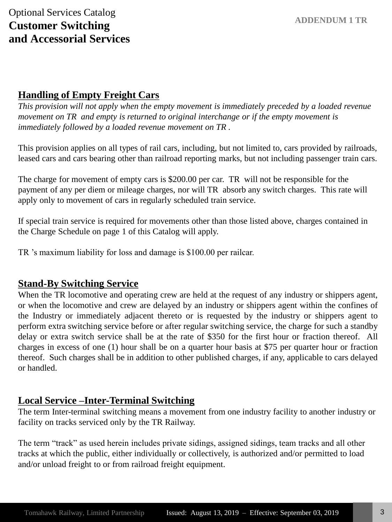### **Handling of Empty Freight Cars**

*This provision will not apply when the empty movement is immediately preceded by a loaded revenue movement on TR and empty is returned to original interchange or if the empty movement is immediately followed by a loaded revenue movement on TR .*

This provision applies on all types of rail cars, including, but not limited to, cars provided by railroads, leased cars and cars bearing other than railroad reporting marks, but not including passenger train cars.

The charge for movement of empty cars is \$200.00 per car. TR will not be responsible for the payment of any per diem or mileage charges, nor will TR absorb any switch charges. This rate will apply only to movement of cars in regularly scheduled train service.

If special train service is required for movements other than those listed above, charges contained in the Charge Schedule on page 1 of this Catalog will apply.

TR 's maximum liability for loss and damage is \$100.00 per railcar.

#### **Stand-By Switching Service**

When the TR locomotive and operating crew are held at the request of any industry or shippers agent, or when the locomotive and crew are delayed by an industry or shippers agent within the confines of the Industry or immediately adjacent thereto or is requested by the industry or shippers agent to perform extra switching service before or after regular switching service, the charge for such a standby delay or extra switch service shall be at the rate of \$350 for the first hour or fraction thereof. All charges in excess of one (1) hour shall be on a quarter hour basis at \$75 per quarter hour or fraction thereof. Such charges shall be in addition to other published charges, if any, applicable to cars delayed or handled.

#### **Local Service –Inter-Terminal Switching**

The term Inter-terminal switching means a movement from one industry facility to another industry or facility on tracks serviced only by the TR Railway.

The term "track" as used herein includes private sidings, assigned sidings, team tracks and all other tracks at which the public, either individually or collectively, is authorized and/or permitted to load and/or unload freight to or from railroad freight equipment.